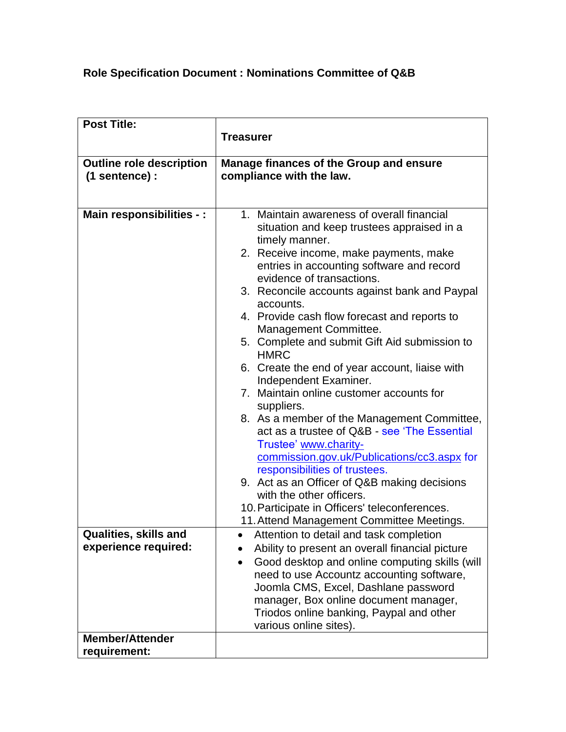## **Role Specification Document : Nominations Committee of Q&B**

| <b>Post Title:</b>              |                                                                                                                      |
|---------------------------------|----------------------------------------------------------------------------------------------------------------------|
|                                 | <b>Treasurer</b>                                                                                                     |
|                                 |                                                                                                                      |
| <b>Outline role description</b> | <b>Manage finances of the Group and ensure</b>                                                                       |
| (1 sentence) :                  | compliance with the law.                                                                                             |
|                                 |                                                                                                                      |
| Main responsibilities - :       | 1. Maintain awareness of overall financial<br>situation and keep trustees appraised in a<br>timely manner.           |
|                                 | 2. Receive income, make payments, make<br>entries in accounting software and record<br>evidence of transactions.     |
|                                 | 3. Reconcile accounts against bank and Paypal<br>accounts.                                                           |
|                                 | 4. Provide cash flow forecast and reports to<br>Management Committee.                                                |
|                                 | 5. Complete and submit Gift Aid submission to<br><b>HMRC</b>                                                         |
|                                 | 6. Create the end of year account, liaise with<br>Independent Examiner.                                              |
|                                 | 7. Maintain online customer accounts for<br>suppliers.                                                               |
|                                 | 8. As a member of the Management Committee,<br>act as a trustee of Q&B - see 'The Essential<br>Trustee' www.charity- |
|                                 | commission.gov.uk/Publications/cc3.aspx for<br>responsibilities of trustees.                                         |
|                                 | 9. Act as an Officer of Q&B making decisions<br>with the other officers.                                             |
|                                 | 10. Participate in Officers' teleconferences.                                                                        |
|                                 | 11. Attend Management Committee Meetings.                                                                            |
| Qualities, skills and           | Attention to detail and task completion                                                                              |
| experience required:            | Ability to present an overall financial picture                                                                      |
|                                 | Good desktop and online computing skills (will<br>need to use Accountz accounting software,                          |
|                                 | Joomla CMS, Excel, Dashlane password                                                                                 |
|                                 | manager, Box online document manager,                                                                                |
|                                 | Triodos online banking, Paypal and other                                                                             |
|                                 | various online sites).                                                                                               |
| <b>Member/Attender</b>          |                                                                                                                      |
| requirement:                    |                                                                                                                      |